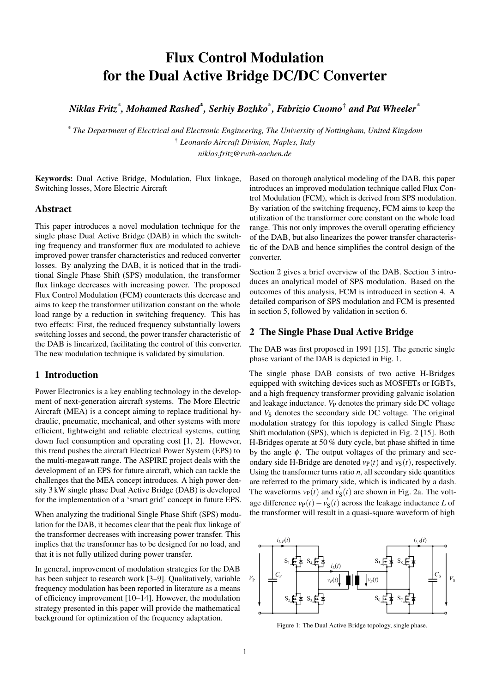# <span id="page-0-0"></span>Flux Control Modulation for the Dual Active Bridge DC/DC Converter

*Niklas Fritz\* , Mohamed Rashed\* , Serhiy Bozhko\* , Fabrizio Cuomo*† *and Pat Wheeler\**

*\* The Department of Electrical and Electronic Engineering, The University of Nottingham, United Kingdom* † *Leonardo Aircraft Division, Naples, Italy niklas.fritz@rwth-aachen.de*

Keywords: Dual Active Bridge, Modulation, Flux linkage, Switching losses, More Electric Aircraft

#### Abstract

This paper introduces a novel modulation technique for the single phase Dual Active Bridge (DAB) in which the switching frequency and transformer flux are modulated to achieve improved power transfer characteristics and reduced converter losses. By analyzing the DAB, it is noticed that in the traditional Single Phase Shift (SPS) modulation, the transformer flux linkage decreases with increasing power. The proposed Flux Control Modulation (FCM) counteracts this decrease and aims to keep the transformer utilization constant on the whole load range by a reduction in switching frequency. This has two effects: First, the reduced frequency substantially lowers switching losses and second, the power transfer characteristic of the DAB is linearized, facilitating the control of this converter. The new modulation technique is validated by simulation.

# 1 Introduction

Power Electronics is a key enabling technology in the development of next-generation aircraft systems. The More Electric Aircraft (MEA) is a concept aiming to replace traditional hydraulic, pneumatic, mechanical, and other systems with more efficient, lightweight and reliable electrical systems, cutting down fuel consumption and operating cost [\[1,](#page-5-0) [2\]](#page-5-0). However, this trend pushes the aircraft Electrical Power System (EPS) to the multi-megawatt range. The ASPIRE project deals with the development of an EPS for future aircraft, which can tackle the challenges that the MEA concept introduces. A high power density 3 kW single phase Dual Active Bridge (DAB) is developed for the implementation of a 'smart grid' concept in future EPS.

When analyzing the traditional Single Phase Shift (SPS) modulation for the DAB, it becomes clear that the peak flux linkage of the transformer decreases with increasing power transfer. This implies that the transformer has to be designed for no load, and that it is not fully utilized during power transfer.

In general, improvement of modulation strategies for the DAB has been subject to research work [\[3–9\]](#page-5-0). Qualitatively, variable frequency modulation has been reported in literature as a means of efficiency improvement [\[10–14\]](#page-5-0). However, the modulation strategy presented in this paper will provide the mathematical background for optimization of the frequency adaptation.

Based on thorough analytical modeling of the DAB, this paper introduces an improved modulation technique called Flux Control Modulation (FCM), which is derived from SPS modulation. By variation of the switching frequency, FCM aims to keep the utilization of the transformer core constant on the whole load range. This not only improves the overall operating efficiency of the DAB, but also linearizes the power transfer characteristic of the DAB and hence simplifies the control design of the converter.

Section 2 gives a brief overview of the DAB. Section [3](#page-1-0) introduces an analytical model of SPS modulation. Based on the outcomes of this analysis, FCM is introduced in section [4.](#page-3-0) A detailed comparison of SPS modulation and FCM is presented in section [5,](#page-4-0) followed by validation in section [6.](#page-4-0)

#### 2 The Single Phase Dual Active Bridge

The DAB was first proposed in 1991 [\[15\]](#page-5-0). The generic single phase variant of the DAB is depicted in Fig. 1.

The single phase DAB consists of two active H-Bridges equipped with switching devices such as MOSFETs or IGBTs, and a high frequency transformer providing galvanic isolation and leakage inductance. *V*<sub>P</sub> denotes the primary side DC voltage and  $V<sub>S</sub>$  denotes the secondary side DC voltage. The original modulation strategy for this topology is called Single Phase Shift modulation (SPS), which is depicted in Fig. [2](#page-1-0) [\[15\]](#page-5-0). Both H-Bridges operate at 50 % duty cycle, but phase shifted in time by the angle  $\phi$ . The output voltages of the primary and secondary side H-Bridge are denoted  $v_P(t)$  and  $v_S(t)$ , respectively. Using the transformer turns ratio  $n$ , all secondary side quantities are referred to the primary side, which is indicated by a dash. The waveforms  $v_P(t)$  and  $v'_S(t)$  are shown in Fig. [2a](#page-1-0). The voltage difference  $v_P(t) - v'_S(t)$  across the leakage inductance *L* of the transformer will result in a quasi-square waveform of high



Figure 1: The Dual Active Bridge topology, single phase.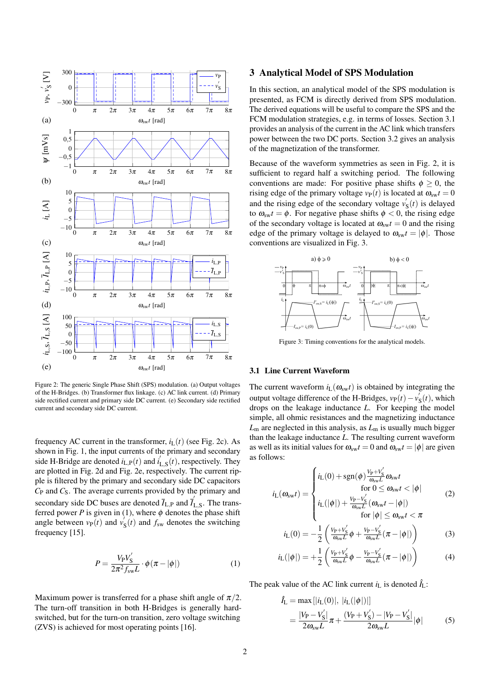<span id="page-1-0"></span>

Figure 2: The generic Single Phase Shift (SPS) modulation. (a) Output voltages of the H-Bridges. (b) Transformer flux linkage. (c) AC link current. (d) Primary side rectified current and primary side DC current. (e) Secondary side rectified current and secondary side DC current.

frequency AC current in the transformer,  $i_L(t)$  (see Fig. 2c). As shown in Fig. [1,](#page-0-0) the input currents of the primary and secondary side H-Bridge are denoted  $i_{L,P}(t)$  and  $i'_{L,S}(t)$ , respectively. They are plotted in Fig. 2d and Fig. 2e, respectively. The current ripple is filtered by the primary and secondary side DC capacitors *C*<sup>P</sup> and *C*S. The average currents provided by the primary and secondary side DC buses are denoted  $\bar{I}_{L,P}$  and  $\bar{I}_{L,S}$ . The transferred power *P* is given in (1), where  $\phi$  denotes the phase shift angle between  $v_P(t)$  and  $v'_S(t)$  and  $f_{sw}$  denotes the switching frequency [\[15\]](#page-5-0).

$$
P = \frac{V_{\rm P} V_{\rm S}^{'}}{2\pi^2 f_{\rm sw} L} \cdot \phi(\pi - |\phi|)
$$
 (1)

Maximum power is transferred for a phase shift angle of  $\pi/2$ . The turn-off transition in both H-Bridges is generally hardswitched, but for the turn-on transition, zero voltage switching (ZVS) is achieved for most operating points [\[16\]](#page-5-0).

#### 3 Analytical Model of SPS Modulation

In this section, an analytical model of the SPS modulation is presented, as FCM is directly derived from SPS modulation. The derived equations will be useful to compare the SPS and the FCM modulation strategies, e.g. in terms of losses. Section 3.1 provides an analysis of the current in the AC link which transfers power between the two DC ports. Section [3.2](#page-2-0) gives an analysis of the magnetization of the transformer.

Because of the waveform symmetries as seen in Fig. 2, it is sufficient to regard half a switching period. The following conventions are made: For positive phase shifts  $\phi \geq 0$ , the rising edge of the primary voltage  $v_P(t)$  is located at  $\omega_{sw}t = 0$ and the rising edge of the secondary voltage  $v'_{S}(t)$  is delayed to  $\omega_{sw}t = \phi$ . For negative phase shifts  $\phi < 0$ , the rising edge of the secondary voltage is located at  $\omega_{sw}t = 0$  and the rising edge of the primary voltage is delayed to  $\omega_{sw}t = |\phi|$ . Those conventions are visualized in Fig. 3.



Figure 3: Timing conventions for the analytical models.

#### 3.1 Line Current Waveform

The current waveform  $i_L(\omega_{sw}t)$  is obtained by integrating the output voltage difference of the H-Bridges,  $v_P(t) - v'_{S}(t)$ , which drops on the leakage inductance *L*. For keeping the model simple, all ohmic resistances and the magnetizing inductance *L*<sup>m</sup> are neglected in this analysis, as *L*<sup>m</sup> is usually much bigger than the leakage inductance *L*. The resulting current waveform as well as its initial values for  $\omega_{sw}t = 0$  and  $\omega_{sw}t = |\phi|$  are given as follows:

$$
i_{\rm L}(\omega_{\rm sw}t) = \begin{cases} i_{\rm L}(0) + \text{sgn}(\phi) \frac{V_{\rm P} + V_{\rm S}^{'}}{\omega_{\rm sw}L} \omega_{\rm sw}t \\ \text{for } 0 \le \omega_{\rm sw}t < |\phi| \\ i_{\rm L}(|\phi|) + \frac{V_{\rm P} - V_{\rm S}^{'}}{\omega_{\rm sw}L}(\omega_{\rm sw}t - |\phi|) \\ \text{for } |\phi| \le \omega_{\rm sw}t < \pi \end{cases} \tag{2}
$$

$$
i_{\rm L}(0) = -\frac{1}{2} \left( \frac{v_{\rm P} + v'_{\rm S}}{\omega_{\rm sw} L} \phi + \frac{v_{\rm P} - v'_{\rm S}}{\omega_{\rm sw} L} (\pi - |\phi|) \right) \tag{3}
$$

$$
i_{\rm L}(|\phi|) = +\frac{1}{2} \left( \frac{v_{\rm p} + v'_{\rm s}}{\omega_{\rm sw} L} \phi - \frac{v_{\rm p} - v'_{\rm s}}{\omega_{\rm sw} L} (\pi - |\phi|) \right) \tag{4}
$$

The peak value of the AC link current  $i_L$  is denoted  $\hat{I}_L$ :

$$
\hat{I}_{L} = \max[|i_{L}(0)|, |i_{L}(|\phi|)|]
$$
\n
$$
= \frac{|V_{P} - V'_{S}|}{2\omega_{sw}L}\pi + \frac{(V_{P} + V'_{S}) - |V_{P} - V'_{S}|}{2\omega_{sw}L}|\phi|
$$
\n(5)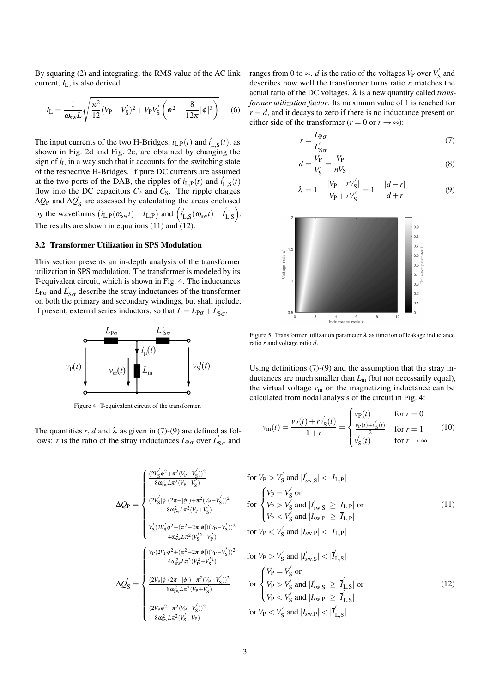<span id="page-2-0"></span>By squaring [\(2\)](#page-1-0) and integrating, the RMS value of the AC link current, *I*L, is also derived:

$$
I_{\rm L} = \frac{1}{\omega_{\rm sw} L} \sqrt{\frac{\pi^2}{12} (V_{\rm P} - V_{\rm S}')^2 + V_{\rm P} V_{\rm S}' \left(\phi^2 - \frac{8}{12\pi} |\phi|^3\right)} \tag{6}
$$

The input currents of the two H-Bridges,  $i_{L,P}(t)$  and  $i'_{L,S}(t)$ , as shown in Fig. [2d](#page-1-0) and Fig. [2e](#page-1-0), are obtained by changing the sign of  $i<sub>L</sub>$  in a way such that it accounts for the switching state of the respective H-Bridges. If pure DC currents are assumed at the two ports of the DAB, the ripples of  $i_{L,P}(t)$  and  $i'_{L,S}(t)$ flow into the DC capacitors  $C_P$  and  $C_S$ . The ripple charges ∆*Q*<sub>P</sub> and ∆*Q*<sup>'</sup><sub>S</sub> are assessed by calculating the areas enclosed by the waveforms  $(i_{L,P}(\omega_{sw}t) - \bar{I}_{L,P})$  and  $(i'_{L,S}(\omega_{sw}t) - \bar{I}'_{L,S})$ . The results are shown in equations (11) and  $(12)$ .

#### 3.2 Transformer Utilization in SPS Modulation

This section presents an in-depth analysis of the transformer utilization in SPS modulation. The transformer is modeled by its T-equivalent circuit, which is shown in Fig. 4. The inductances  $L_{\text{P}\sigma}$  and  $L'_{\text{S}\sigma}$  describe the stray inductances of the transformer on both the primary and secondary windings, but shall include, if present, external series inductors, so that  $L = L_{\text{P}\sigma} + L'_{\text{S}\sigma}$ .



Figure 4: T-equivalent circuit of the transformer.

The quantities *r*, *d* and  $\lambda$  as given in (7)-(9) are defined as follows: *r* is the ratio of the stray inductances  $L_{\text{P}\sigma}$  over  $L'_{\text{S}\sigma}$  and

ranges from 0 to  $\infty$ . *d* is the ratio of the voltages *V*<sub>P</sub> over *V*<sup> $\prime$ </sup> and describes how well the transformer turns ratio *n* matches the actual ratio of the DC voltages. λ is a new quantity called *transformer utilization factor*. Its maximum value of 1 is reached for  $r = d$ , and it decays to zero if there is no inductance present on either side of the transformer ( $r = 0$  or  $r \rightarrow \infty$ ):

$$
r = \frac{L_{\mathsf{P}\sigma}}{L'_{\mathsf{S}\sigma}}\tag{7}
$$

$$
d = \frac{V_{\rm P}}{V_{\rm S}'} = \frac{V_{\rm P}}{nV_{\rm S}}\tag{8}
$$

$$
\lambda = 1 - \frac{|V_P - rV'_S|}{V_P + rV'_S} = 1 - \frac{|d - r|}{d + r}
$$
(9)



Figure 5: Transformer utilization parameter  $\lambda$  as function of leakage inductance ratio *r* and voltage ratio *d*.

Using definitions (7)-(9) and the assumption that the stray inductances are much smaller than  $L<sub>m</sub>$  (but not necessarily equal), the virtual voltage  $v_m$  on the magnetizing inductance can be calculated from nodal analysis of the circuit in Fig. 4:

$$
v_{\rm m}(t) = \frac{v_{\rm P}(t) + r v'_{\rm S}(t)}{1+r} = \begin{cases} v_{\rm P}(t) & \text{for } r = 0\\ \frac{v_{\rm P}(t) + v'_{\rm S}(t)}{2} & \text{for } r = 1\\ v'_{\rm S}(t) & \text{for } r \to \infty \end{cases} \tag{10}
$$

(11)

(12)

$$
\Delta Q_{P} = \begin{cases} \frac{(2V_{S}^{'}\phi^{2} + \pi^{2}(V_{P} - V_{S}^{'}))^{2}}{8\omega_{sw}^{2}L\pi^{2}(V_{P} - V_{S}^{'})} & \text{for } V_{P} > V_{S}^{'} \text{ and } |I_{sw,S}^{'}| < |\overline{I}_{L,P}| \\ \frac{(2V_{S}^{'}|\phi|(2\pi - |\phi|) + \pi^{2}(V_{P} - V_{S}^{'}))^{2}}{8\omega_{sw}^{2}L\pi^{2}(V_{P} + V_{S}^{'})} & \text{for } V_{P} > V_{S}^{'} \text{ and } |I_{sw,S}^{'}| \geq |\overline{I}_{L,P}| \text{ or} \\ V_{P} < V_{S}^{'} \text{ and } |I_{sw,P}| \geq |\overline{I}_{L,P}| \text{ or} \\ V_{P} < V_{S}^{'} \text{ and } |I_{sw,P}| \geq |\overline{I}_{L,P}| \\ \frac{V_{S}^{'}(2V_{S}^{'}\phi^{2} - (\pi^{2} - 2\pi|\phi|)(V_{P} - V_{S}^{'}))^{2}}{4\omega_{sw}^{2}L\pi^{2}(V_{P}^{2} - V_{S}^{'})^{2}} & \text{for } V_{P} > V_{S}^{'} \text{ and } |I_{sw,S}| < |\overline{I}_{L,P}| \\ \Delta Q_{S}^{'} = \begin{cases} \frac{V_{P}(2V_{P}\phi^{2} + (\pi^{2} - 2\pi|\phi|)(V_{P} - V_{S}^{'}))^{2}}{4\omega_{sw}^{2}L\pi^{2}(V_{P}^{2} - V_{S}^{'})^{2}} & \text{for } V_{P} > V_{S}^{'} \text{ and } |I_{sw,S}| < |\overline{I}_{L,S}| \\ \frac{(2V_{P}|\phi|(2\pi - |\phi|) - \pi^{2}(V_{P} - V_{S}^{'}))^{2}}{8\omega_{sw}^{2}L\pi^{2}(V_{P} + V_{S}^{'})} & \text{for } V_{P} < V_{S}^{'} \text{ and } |I_{sw,P}| \geq |\overline{I}_{L,S}^{'}| \\ V_{P} < V_{S}^{'} \text{ and } |I_{sw,P}| \geq |\overline{I}_{L,S}^{'}| \end{cases}
$$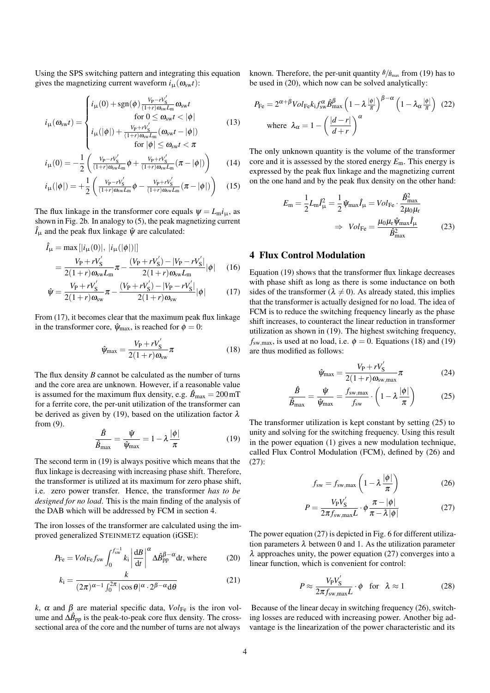<span id="page-3-0"></span>Using the SPS switching pattern and integrating this equation gives the magnetizing current waveform  $i_{\mu}(\omega_{sw}t)$ :

$$
i_{\mu}(\omega_{sw}t) = \begin{cases} i_{\mu}(0) + \text{sgn}(\phi) \frac{V_{\text{P}} - rV_{\text{S}}'}{(1+r)\omega_{\text{sw}}L_{\text{m}}} \omega_{\text{sw}}t \\ \text{for } 0 \le \omega_{\text{sw}}t < |\phi| \\ i_{\mu}(|\phi|) + \frac{V_{\text{P}} + rV_{\text{S}}'}{(1+r)\omega_{\text{sw}}L_{\text{m}}} (\omega_{\text{sw}}t - |\phi|) \end{cases} \tag{13}
$$

$$
i_{\mu}(0) = -\frac{1}{2} \left( \frac{v_{\rm p} - v_{\rm S}'}{(1+r)\omega_{\rm sw}L_{\rm m}} \phi + \frac{v_{\rm p} + v_{\rm S}'}{(1+r)\omega_{\rm sw}L_{\rm m}} (\pi - |\phi|) \right) \tag{14}
$$

$$
i_{\mu}(|\phi|) = +\frac{1}{2} \left( \frac{V_{P} - rV_{S}^{'}}{(1+r)\omega_{sw}L_{m}} \phi - \frac{V_{P} + rV_{S}^{'}}{(1+r)\omega_{sw}L_{m}} (\pi - |\phi|) \right) \quad (15)
$$

The flux linkage in the transformer core equals  $\psi = L_m i_\mu$ , as shown in Fig. [2b](#page-1-0). In analogy to [\(5\)](#page-1-0), the peak magnetizing current  $\hat{I}_{\mu}$  and the peak flux linkage  $\hat{\psi}$  are calculated:

$$
\hat{I}_{\mu} = \max[|i_{\mu}(0)|, |i_{\mu}(|\phi|)|]
$$
\n
$$
= \frac{V_{\rm P} + rV'_{\rm S}}{2(1+r)\omega_{\rm sw}L_{\rm m}}\pi - \frac{(V_{\rm P} + rV'_{\rm S}) - |V_{\rm P} - rV'_{\rm S}|}{2(1+r)\omega_{\rm sw}L_{\rm m}}|\phi| \qquad (16)
$$

$$
\hat{\mathbf{\psi}} = \frac{V_{\rm P} + rV_{\rm S}^{'}}{2(1+r)\omega_{\rm sw}}\pi - \frac{(V_{\rm P} + rV_{\rm S}^{'}) - |V_{\rm P} - rV_{\rm S}^{'}|}{2(1+r)\omega_{\rm sw}}|\phi| \tag{17}
$$

From (17), it becomes clear that the maximum peak flux linkage in the transformer core,  $\hat{\psi}_{\text{max}}$ , is reached for  $\phi = 0$ :

$$
\hat{\psi}_{\text{max}} = \frac{V_{\text{P}} + rV_{\text{S}}'}{2(1+r)\omega_{\text{sw}}} \pi \tag{18}
$$

The flux density *B* cannot be calculated as the number of turns and the core area are unknown. However, if a reasonable value is assumed for the maximum flux density, e.g.  $\hat{B}_{\text{max}} = 200 \,\text{mT}$ for a ferrite core, the per-unit utilization of the transformer can be derived as given by (19), based on the utilization factor  $\lambda$ from [\(9\)](#page-2-0).

$$
\frac{\hat{B}}{\hat{B}_{\text{max}}} = \frac{\hat{\psi}}{\hat{\psi}_{\text{max}}} = 1 - \lambda \frac{|\phi|}{\pi}
$$
(19)

The second term in (19) is always positive which means that the flux linkage is decreasing with increasing phase shift. Therefore, the transformer is utilized at its maximum for zero phase shift, i.e. zero power transfer. Hence, the transformer *has to be designed for no load*. This is the main finding of the analysis of the DAB which will be addressed by FCM in section 4.

The iron losses of the transformer are calculated using the improved generalized STEINMETZ equation (iGSE):

$$
P_{\text{Fe}} = Vol_{\text{Fe}} f_{\text{sw}} \int_0^{f_{\text{sw}}^{-1}} k_i \left| \frac{\text{d}B}{\text{d}t} \right|^\alpha \Delta \hat{B}_{\text{pp}}^{\beta - \alpha} \text{d}t, \text{ where } (20)
$$

$$
k_{\rm i} = \frac{k}{(2\pi)^{\alpha - 1} \int_0^{2\pi} |\cos \theta|^{\alpha} \cdot 2^{\beta - \alpha} d\theta}
$$
 (21)

*k*,  $\alpha$  and  $\beta$  are material specific data,  $Vol_{\text{Fe}}$  is the iron volume and  $\Delta \hat{B}_{\rm pp}$  is the peak-to-peak core flux density. The crosssectional area of the core and the number of turns are not always known. Therefore, the per-unit quantity  $\hat{B}/\hat{B}_{\text{max}}$  from (19) has to be used in (20), which now can be solved analytically:

$$
P_{\text{Fe}} = 2^{\alpha + \beta} Vol_{\text{Fe}} k_{\text{i}} f_{\text{sw}}^{\alpha} \hat{\beta}_{\text{max}}^{\beta} \left( 1 - \lambda \frac{|\phi|}{\pi} \right)^{\beta - \alpha} \left( 1 - \lambda_{\alpha} \frac{|\phi|}{\pi} \right) (22)
$$
  
where  $\lambda_{\alpha} = 1 - \left( \frac{|d - r|}{d + r} \right)^{\alpha}$ 

The only unknown quantity is the volume of the transformer core and it is assessed by the stored energy *E*m. This energy is expressed by the peak flux linkage and the magnetizing current on the one hand and by the peak flux density on the other hand:

$$
E_{\rm m} = \frac{1}{2} L_{\rm m} \hat{I}_{\mu}^2 = \frac{1}{2} \hat{\psi}_{\rm max} \hat{I}_{\mu} = Vol_{\rm Fe} \cdot \frac{\hat{B}_{\rm max}^2}{2\mu_0 \mu_{\rm r}}
$$
  

$$
\Rightarrow Vol_{\rm Fe} = \frac{\mu_0 \mu_{\rm r} \hat{\psi}_{\rm max} \hat{I}_{\mu}}{\hat{B}_{\rm max}^2}
$$
(23)

## 4 Flux Control Modulation

Equation (19) shows that the transformer flux linkage decreases with phase shift as long as there is some inductance on both sides of the transformer ( $\lambda \neq 0$ ). As already stated, this implies that the transformer is actually designed for no load. The idea of FCM is to reduce the switching frequency linearly as the phase shift increases, to counteract the linear reduction in transformer utilization as shown in (19). The highest switching frequency,  $f_{\text{sw,max}}$ , is used at no load, i.e.  $\phi = 0$ . Equations (18) and (19) are thus modified as follows:

$$
\hat{\psi}_{\text{max}} = \frac{V_P + rV'_S}{2(1+r)\omega_{\text{sw,max}}} \pi \tag{24}
$$

$$
\frac{\hat{B}}{\hat{B}_{\text{max}}} = \frac{\hat{\psi}}{\hat{\psi}_{\text{max}}} = \frac{f_{\text{sw,max}}}{f_{\text{sw}}} \cdot \left(1 - \lambda \frac{|\phi|}{\pi}\right) \tag{25}
$$

The transformer utilization is kept constant by setting (25) to unity and solving for the switching frequency. Using this result in the power equation [\(1\)](#page-1-0) gives a new modulation technique, called Flux Control Modulation (FCM), defined by (26) and (27):

$$
f_{\rm sw} = f_{\rm sw,max} \left( 1 - \lambda \frac{|\phi|}{\pi} \right) \tag{26}
$$

$$
P = \frac{V_{P}V_{S}'}{2\pi f_{\text{sw,max}}L} \cdot \phi \frac{\pi - |\phi|}{\pi - \lambda |\phi|}
$$
(27)

The power equation (27) is depicted in Fig. [6](#page-4-0) for different utilization parameters  $\lambda$  between 0 and 1. As the utilization parameter  $\lambda$  approaches unity, the power equation (27) converges into a linear function, which is convenient for control:

$$
P \approx \frac{V_{\rm P} V_{\rm S}'}{2\pi f_{\rm sw,max} L} \cdot \phi \quad \text{for} \quad \lambda \approx 1 \tag{28}
$$

Because of the linear decay in switching frequency (26), switching losses are reduced with increasing power. Another big advantage is the linearization of the power characteristic and its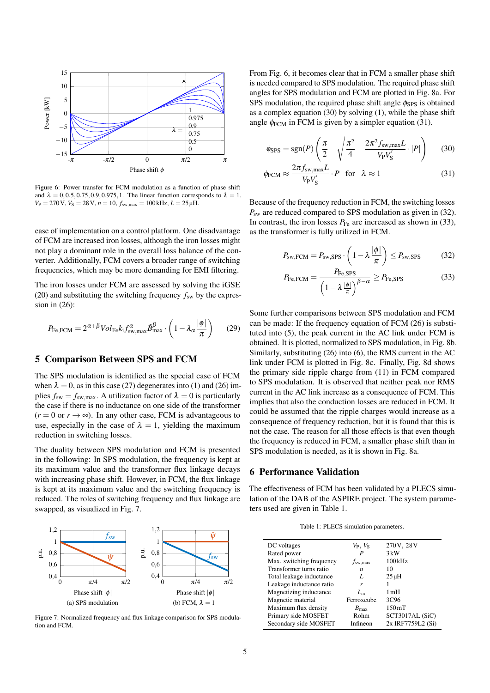<span id="page-4-0"></span>

Figure 6: Power transfer for FCM modulation as a function of phase shift and  $\lambda = 0.0.5, 0.75, 0.9, 0.975, 1$ . The linear function corresponds to  $\lambda = 1$ .  $V_P = 270 \text{ V}, V_S = 28 \text{ V}, n = 10, f_{sw,max} = 100 \text{ kHz}, L = 25 \mu \text{H}.$ 

ease of implementation on a control platform. One disadvantage of FCM are increased iron losses, although the iron losses might not play a dominant role in the overall loss balance of the converter. Additionally, FCM covers a broader range of switching frequencies, which may be more demanding for EMI filtering.

The iron losses under FCM are assessed by solving the iGSE [\(20\)](#page-3-0) and substituting the switching frequency  $f_{sw}$  by the expression in [\(26\)](#page-3-0):

$$
P_{\text{Fe,FCM}} = 2^{\alpha + \beta} Vol_{\text{Fe}} k_{\text{i}} f_{\text{sw,max}}^{\alpha} \hat{B}_{\text{max}}^{\beta} \cdot \left( 1 - \lambda_{\alpha} \frac{|\phi|}{\pi} \right) \tag{29}
$$

# 5 Comparison Between SPS and FCM

The SPS modulation is identified as the special case of FCM when  $\lambda = 0$ , as in this case [\(27\)](#page-3-0) degenerates into [\(1\)](#page-1-0) and [\(26\)](#page-3-0) implies  $f_{sw} = f_{sw,max}$ . A utilization factor of  $\lambda = 0$  is particularly the case if there is no inductance on one side of the transformer  $(r = 0 \text{ or } r \rightarrow \infty)$ . In any other case, FCM is advantageous to use, especially in the case of  $\lambda = 1$ , yielding the maximum reduction in switching losses.

The duality between SPS modulation and FCM is presented in the following: In SPS modulation, the frequency is kept at its maximum value and the transformer flux linkage decays with increasing phase shift. However, in FCM, the flux linkage is kept at its maximum value and the switching frequency is reduced. The roles of switching frequency and flux linkage are swapped, as visualized in Fig. 7.



Figure 7: Normalized frequency and flux linkage comparison for SPS modulation and FCM.

From Fig. 6, it becomes clear that in FCM a smaller phase shift is needed compared to SPS modulation. The required phase shift angles for SPS modulation and FCM are plotted in Fig. [8a](#page-5-0). For SPS modulation, the required phase shift angle  $\phi_{SPS}$  is obtained as a complex equation (30) by solving [\(1\)](#page-1-0), while the phase shift angle  $\phi$ <sub>FCM</sub> in FCM is given by a simpler equation (31).

$$
\phi_{\rm SPS} = \text{sgn}(P) \left( \frac{\pi}{2} - \sqrt{\frac{\pi^2}{4} - \frac{2\pi^2 f_{\rm sw,max}L}{V_{\rm P}V_{\rm S}'} \cdot |P|} \right) \tag{30}
$$

$$
\phi_{\text{FCM}} \approx \frac{2\pi f_{\text{sw,max}}L}{V_{\text{P}}V_{\text{S}}'} \cdot P \quad \text{for} \quad \lambda \approx 1 \tag{31}
$$

Because of the frequency reduction in FCM, the switching losses *P<sub>sw</sub>* are reduced compared to SPS modulation as given in (32). In contrast, the iron losses  $P_{\text{Fe}}$  are increased as shown in (33), as the transformer is fully utilized in FCM.

$$
P_{\rm sw,FCM} = P_{\rm sw,SPS} \cdot \left(1 - \lambda \frac{|\phi|}{\pi}\right) \le P_{\rm sw,SPS} \tag{32}
$$

$$
P_{\text{Fe,FCM}} = \frac{P_{\text{Fe,SPS}}}{\left(1 - \lambda \frac{|\phi|}{\pi}\right)^{\beta - \alpha}} \ge P_{\text{Fe,SPS}} \tag{33}
$$

Some further comparisons between SPS modulation and FCM can be made: If the frequency equation of FCM [\(26\)](#page-3-0) is substituted into [\(5\)](#page-1-0), the peak current in the AC link under FCM is obtained. It is plotted, normalized to SPS modulation, in Fig. [8b](#page-5-0). Similarly, substituting [\(26\)](#page-3-0) into [\(6\)](#page-2-0), the RMS current in the AC link under FCM is plotted in Fig. [8c](#page-5-0). Finally, Fig. [8d](#page-5-0) shows the primary side ripple charge from [\(11\)](#page-2-0) in FCM compared to SPS modulation. It is observed that neither peak nor RMS current in the AC link increase as a consequence of FCM. This implies that also the conduction losses are reduced in FCM. It could be assumed that the ripple charges would increase as a consequence of frequency reduction, but it is found that this is not the case. The reason for all those effects is that even though the frequency is reduced in FCM, a smaller phase shift than in SPS modulation is needed, as it is shown in Fig. [8a](#page-5-0).

## 6 Performance Validation

The effectiveness of FCM has been validated by a PLECS simulation of the DAB of the ASPIRE project. The system parameters used are given in Table 1.

Table 1: PLECS simulation parameters.

| $V_P, V_S$       | 270V, 28V           |
|------------------|---------------------|
| P                | 3kW                 |
|                  | 100kHz              |
| n                | 10                  |
| L                | $25 \mu H$          |
| r                |                     |
| $L_{\rm m}$      | 1 mH                |
| Ferroxcube       | 3C96                |
| $B_{\text{max}}$ | $150 \,\mathrm{mT}$ |
| Rohm             | SCT3017AL (SiC)     |
| Infineon         | 2x IRF7759L2 (Si)   |
|                  | $f_{\rm sw,max}$    |